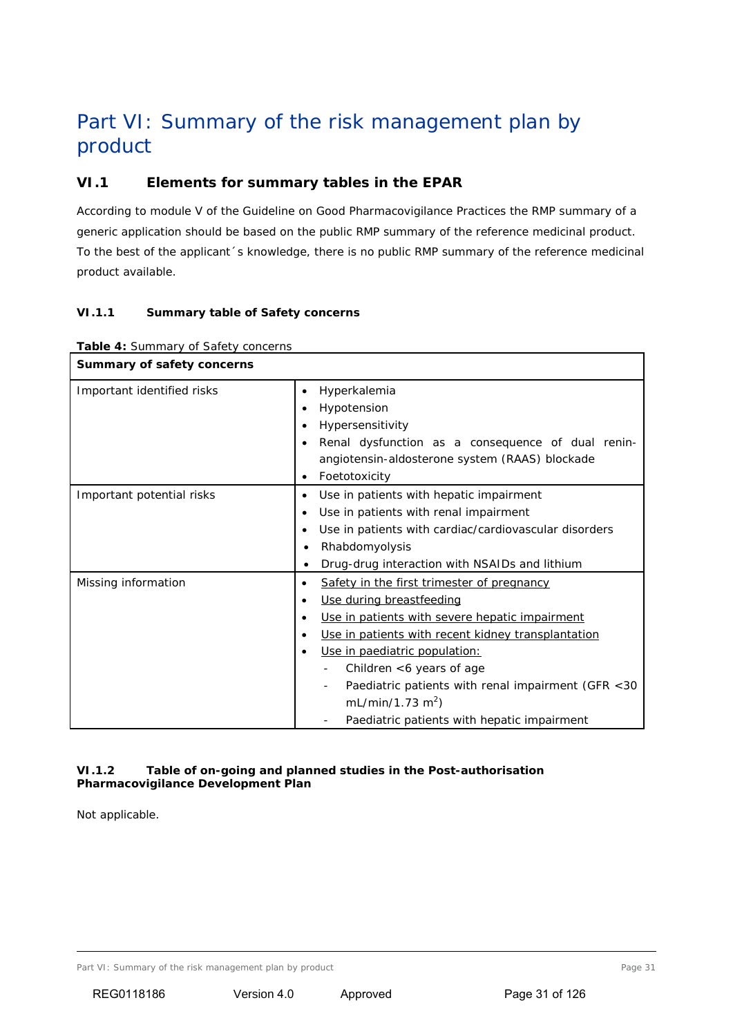# Part VI: Summary of the risk management plan by product

# **VI.1 Elements for summary tables in the EPAR**

According to module V of the Guideline on Good Pharmacovigilance Practices the RMP summary of a generic application should be based on the public RMP summary of the reference medicinal product. To the best of the applicant´s knowledge, there is no public RMP summary of the reference medicinal product available.

## *VI.1.1 Summary table of Safety concerns*

| Summary of safety concerns |                                                                                                                                                                                                                                                                                                                                                                                                                                          |
|----------------------------|------------------------------------------------------------------------------------------------------------------------------------------------------------------------------------------------------------------------------------------------------------------------------------------------------------------------------------------------------------------------------------------------------------------------------------------|
| Important identified risks | Hyperkalemia<br>$\bullet$<br>Hypotension<br>$\bullet$<br>Hypersensitivity<br>$\bullet$<br>Renal dysfunction as a consequence of dual renin-<br>$\bullet$<br>angiotensin-aldosterone system (RAAS) blockade<br>Foetotoxicity<br>$\bullet$                                                                                                                                                                                                 |
| Important potential risks  | Use in patients with hepatic impairment<br>$\bullet$<br>Use in patients with renal impairment<br>$\bullet$<br>Use in patients with cardiac/cardiovascular disorders<br>٠<br>Rhabdomyolysis<br>Drug-drug interaction with NSAIDs and lithium                                                                                                                                                                                              |
| Missing information        | Safety in the first trimester of pregnancy<br>$\bullet$<br>Use during breastfeeding<br>$\bullet$<br>Use in patients with severe hepatic impairment<br>$\bullet$<br>Use in patients with recent kidney transplantation<br>$\bullet$<br>Use in paediatric population:<br>$\bullet$<br>Children <6 years of age<br>Paediatric patients with renal impairment (GFR <30<br>mL/min/1.73 $m^2$ )<br>Paediatric patients with hepatic impairment |

#### *Table 4: Summary of* Safety concerns

#### *VI.1.2 Table of on-going and planned studies in the Post-authorisation Pharmacovigilance Development Plan*

Not applicable.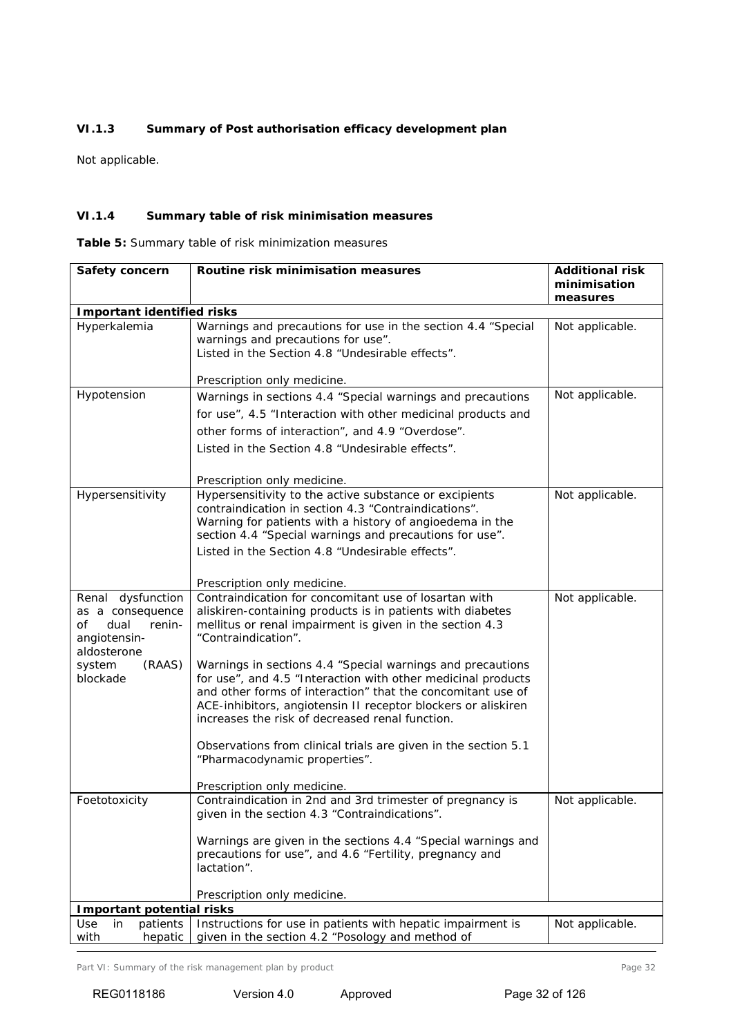## *VI.1.3 Summary of Post authorisation efficacy development plan*

Not applicable.

#### *VI.1.4 Summary table of risk minimisation measures*

*Table 5: Summary table of risk minimization measures*

| Safety concern                                                                               | Routine risk minimisation measures                                                                                                                                                                                                                                                                            | <b>Additional risk</b><br>minimisation<br>measures |
|----------------------------------------------------------------------------------------------|---------------------------------------------------------------------------------------------------------------------------------------------------------------------------------------------------------------------------------------------------------------------------------------------------------------|----------------------------------------------------|
| <b>Important identified risks</b>                                                            |                                                                                                                                                                                                                                                                                                               |                                                    |
| Hyperkalemia                                                                                 | Warnings and precautions for use in the section 4.4 "Special<br>warnings and precautions for use".<br>Listed in the Section 4.8 "Undesirable effects".<br>Prescription only medicine.                                                                                                                         | Not applicable.                                    |
| Hypotension                                                                                  | Warnings in sections 4.4 "Special warnings and precautions                                                                                                                                                                                                                                                    | Not applicable.                                    |
|                                                                                              | for use", 4.5 "Interaction with other medicinal products and                                                                                                                                                                                                                                                  |                                                    |
|                                                                                              | other forms of interaction", and 4.9 "Overdose".                                                                                                                                                                                                                                                              |                                                    |
|                                                                                              | Listed in the Section 4.8 "Undesirable effects".                                                                                                                                                                                                                                                              |                                                    |
|                                                                                              |                                                                                                                                                                                                                                                                                                               |                                                    |
|                                                                                              | Prescription only medicine.                                                                                                                                                                                                                                                                                   |                                                    |
| Hypersensitivity                                                                             | Hypersensitivity to the active substance or excipients<br>contraindication in section 4.3 "Contraindications".<br>Warning for patients with a history of angioedema in the<br>section 4.4 "Special warnings and precautions for use".<br>Listed in the Section 4.8 "Undesirable effects".                     | Not applicable.                                    |
|                                                                                              | Prescription only medicine.                                                                                                                                                                                                                                                                                   |                                                    |
| Renal dysfunction<br>as a consequence<br>of<br>dual<br>renin-<br>angiotensin-<br>aldosterone | Contraindication for concomitant use of losartan with<br>aliskiren-containing products is in patients with diabetes<br>mellitus or renal impairment is given in the section 4.3<br>"Contraindication".                                                                                                        | Not applicable.                                    |
| system<br>(RAAS)<br>blockade                                                                 | Warnings in sections 4.4 "Special warnings and precautions<br>for use", and 4.5 "Interaction with other medicinal products<br>and other forms of interaction" that the concomitant use of<br>ACE-inhibitors, angiotensin II receptor blockers or aliskiren<br>increases the risk of decreased renal function. |                                                    |
|                                                                                              | Observations from clinical trials are given in the section 5.1<br>"Pharmacodynamic properties".                                                                                                                                                                                                               |                                                    |
|                                                                                              | Prescription only medicine.                                                                                                                                                                                                                                                                                   |                                                    |
| Foetotoxicity                                                                                | Contraindication in 2nd and 3rd trimester of pregnancy is<br>given in the section 4.3 "Contraindications".                                                                                                                                                                                                    | Not applicable.                                    |
|                                                                                              | Warnings are given in the sections 4.4 "Special warnings and<br>precautions for use", and 4.6 "Fertility, pregnancy and<br>lactation".                                                                                                                                                                        |                                                    |
|                                                                                              | Prescription only medicine.                                                                                                                                                                                                                                                                                   |                                                    |
| <b>Important potential risks</b>                                                             |                                                                                                                                                                                                                                                                                                               |                                                    |
| Use<br>patients<br>in<br>with<br>hepatic                                                     | Instructions for use in patients with hepatic impairment is<br>given in the section 4.2 "Posology and method of                                                                                                                                                                                               | Not applicable.                                    |

Part VI: Summary of the risk management plan by product example and the risk management plan by product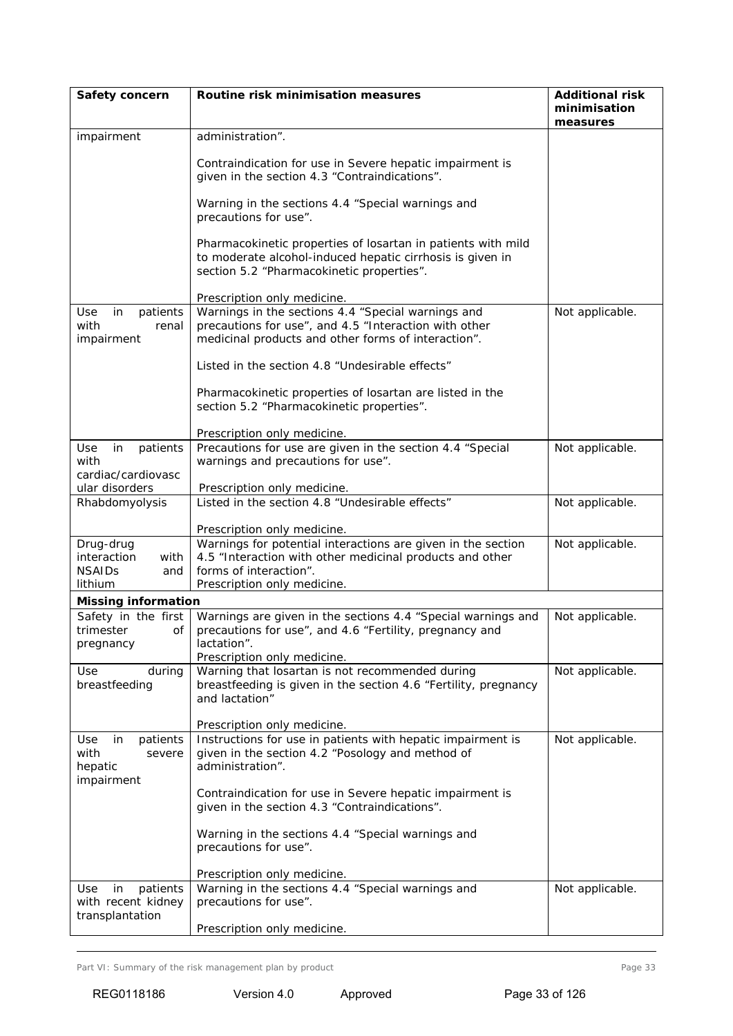| Safety concern                                                          | Routine risk minimisation measures                                                                                                                                                | <b>Additional risk</b><br>minimisation<br>measures |
|-------------------------------------------------------------------------|-----------------------------------------------------------------------------------------------------------------------------------------------------------------------------------|----------------------------------------------------|
| impairment                                                              | administration".                                                                                                                                                                  |                                                    |
|                                                                         | Contraindication for use in Severe hepatic impairment is<br>given in the section 4.3 "Contraindications".                                                                         |                                                    |
|                                                                         | Warning in the sections 4.4 "Special warnings and<br>precautions for use".                                                                                                        |                                                    |
|                                                                         | Pharmacokinetic properties of losartan in patients with mild<br>to moderate alcohol-induced hepatic cirrhosis is given in<br>section 5.2 "Pharmacokinetic properties".            |                                                    |
|                                                                         | Prescription only medicine.                                                                                                                                                       |                                                    |
| Use<br>patients<br>in<br>with<br>renal<br>impairment                    | Warnings in the sections 4.4 "Special warnings and<br>precautions for use", and 4.5 "Interaction with other<br>medicinal products and other forms of interaction".                | Not applicable.                                    |
|                                                                         | Listed in the section 4.8 "Undesirable effects"                                                                                                                                   |                                                    |
|                                                                         | Pharmacokinetic properties of losartan are listed in the<br>section 5.2 "Pharmacokinetic properties".                                                                             |                                                    |
|                                                                         | Prescription only medicine.                                                                                                                                                       |                                                    |
| patients<br>Use<br>in<br>with<br>cardiac/cardiovasc                     | Precautions for use are given in the section 4.4 "Special<br>warnings and precautions for use".                                                                                   | Not applicable.                                    |
| ular disorders                                                          | Prescription only medicine.                                                                                                                                                       |                                                    |
| Rhabdomyolysis                                                          | Listed in the section 4.8 "Undesirable effects"                                                                                                                                   | Not applicable.                                    |
|                                                                         | Prescription only medicine.                                                                                                                                                       |                                                    |
| Drug-drug<br>interaction<br>with<br><b>NSAIDs</b><br>and<br>lithium     | Warnings for potential interactions are given in the section<br>4.5 "Interaction with other medicinal products and other<br>forms of interaction".<br>Prescription only medicine. | Not applicable.                                    |
| <b>Missing information</b>                                              |                                                                                                                                                                                   |                                                    |
| Safety in the first<br>οf<br>trimester<br>pregnancy                     | Warnings are given in the sections 4.4 "Special warnings and<br>precautions for use", and 4.6 "Fertility, pregnancy and<br>lactation".<br>Prescription only medicine.             | Not applicable.                                    |
| <b>Use</b><br>during<br>breastfeeding                                   | Warning that losartan is not recommended during<br>breastfeeding is given in the section 4.6 "Fertility, pregnancy<br>and lactation"                                              | Not applicable.                                    |
|                                                                         | Prescription only medicine.                                                                                                                                                       |                                                    |
| patients<br><b>Use</b><br>in<br>with<br>severe<br>hepatic<br>impairment | Instructions for use in patients with hepatic impairment is<br>given in the section 4.2 "Posology and method of<br>administration".                                               | Not applicable.                                    |
|                                                                         | Contraindication for use in Severe hepatic impairment is<br>given in the section 4.3 "Contraindications".                                                                         |                                                    |
|                                                                         | Warning in the sections 4.4 "Special warnings and<br>precautions for use".                                                                                                        |                                                    |
|                                                                         | Prescription only medicine.                                                                                                                                                       |                                                    |
| patients<br>in<br>Use<br>with recent kidney<br>transplantation          | Warning in the sections 4.4 "Special warnings and<br>precautions for use".                                                                                                        | Not applicable.                                    |
|                                                                         | Prescription only medicine.                                                                                                                                                       |                                                    |

Part VI: Summary of the risk management plan by product example and the risk management plan by product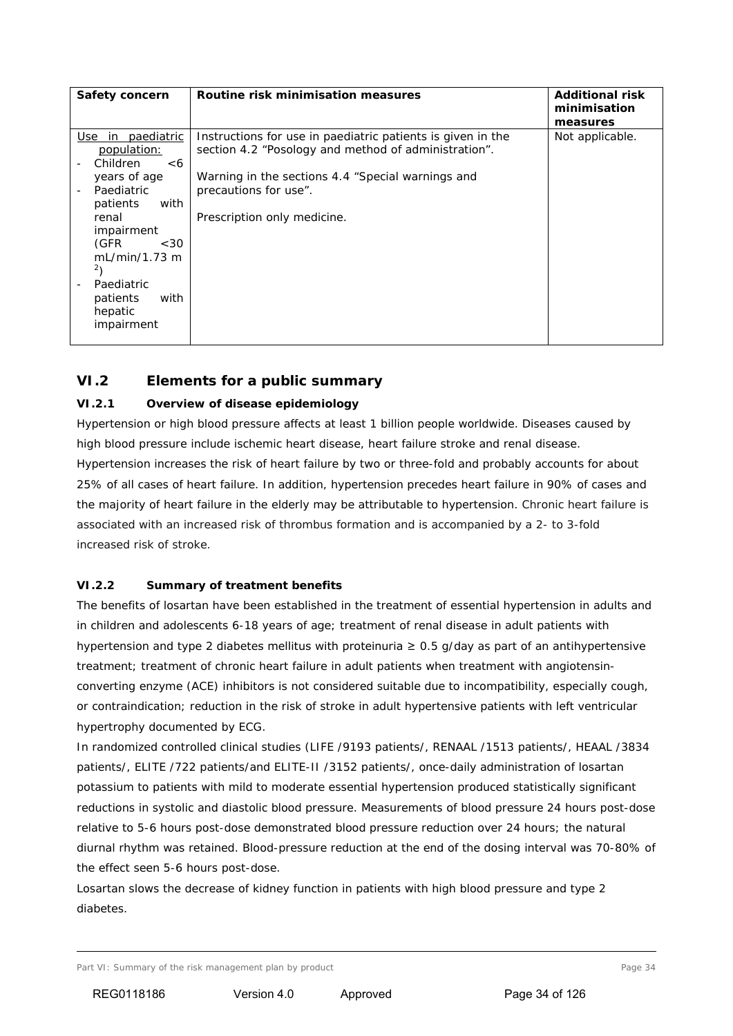| Safety concern                                                                                                                                                                                                                       | Routine risk minimisation measures                                                                                                                                                                                               | <b>Additional risk</b><br>minimisation<br>measures |
|--------------------------------------------------------------------------------------------------------------------------------------------------------------------------------------------------------------------------------------|----------------------------------------------------------------------------------------------------------------------------------------------------------------------------------------------------------------------------------|----------------------------------------------------|
| Use<br>in paediatric<br>population:<br>Children<br><6<br>years of age<br>Paediatric<br>with<br>patients<br>renal<br>impairment<br>(GFR)<br><30<br>mL/min/1.73 m<br>$^{2}$<br>Paediatric<br>with<br>patients<br>hepatic<br>impairment | Instructions for use in paediatric patients is given in the<br>section 4.2 "Posology and method of administration".<br>Warning in the sections 4.4 "Special warnings and<br>precautions for use".<br>Prescription only medicine. | Not applicable.                                    |

# **VI.2 Elements for a public summary**

## *VI.2.1 Overview of disease epidemiology*

Hypertension or high blood pressure affects at least 1 billion people worldwide. Diseases caused by high blood pressure include [ischemic heart disease,](http://en.wikipedia.org/wiki/Ischemic_heart_disease) heart failure [stroke](http://en.wikipedia.org/wiki/Stroke) and [renal](http://en.wikipedia.org/wiki/Kidney_disease) disease. Hypertension increases the risk of heart failure by two or three-fold and probably accounts for about 25% of all cases of heart failure. In addition, hypertension precedes heart failure in 90% of cases and the majority of heart failure in the elderly may be attributable to hypertension. Chronic heart failure is associated with an increased risk of thrombus formation and is accompanied by a 2- to 3-fold increased risk of stroke.

## *VI.2.2 Summary of treatment benefits*

The benefits of losartan have been established in the treatment of essential hypertension in adults and in children and adolescents 6-18 years of age; treatment of renal disease in adult patients with hypertension and type 2 diabetes mellitus with proteinuria ≥ 0.5 g/day as part of an antihypertensive treatment; treatment of chronic heart failure in adult patients when treatment with angiotensinconverting enzyme (ACE) inhibitors is not considered suitable due to incompatibility*,* especially cough, or contraindication; reduction in the risk of stroke in adult hypertensive patients with left ventricular hypertrophy documented by ECG.

In randomized controlled clinical studies (LIFE /9193 patients/, RENAAL /1513 patients/, HEAAL /3834 patients/, ELITE /722 patients/and ELITE-II /3152 patients/, once-daily administration of losartan potassium to patients with mild to moderate essential hypertension produced statistically significant reductions in systolic and diastolic blood pressure. Measurements of blood pressure 24 hours post-dose relative to 5-6 hours post-dose demonstrated blood pressure reduction over 24 hours; the natural diurnal rhythm was retained. Blood-pressure reduction at the end of the dosing interval was 70-80% of the effect seen 5-6 hours post-dose.

Losartan slows the decrease of kidney function in patients with high blood pressure and type 2 diabetes.

Part VI: Summary of the risk management plan by product Page 34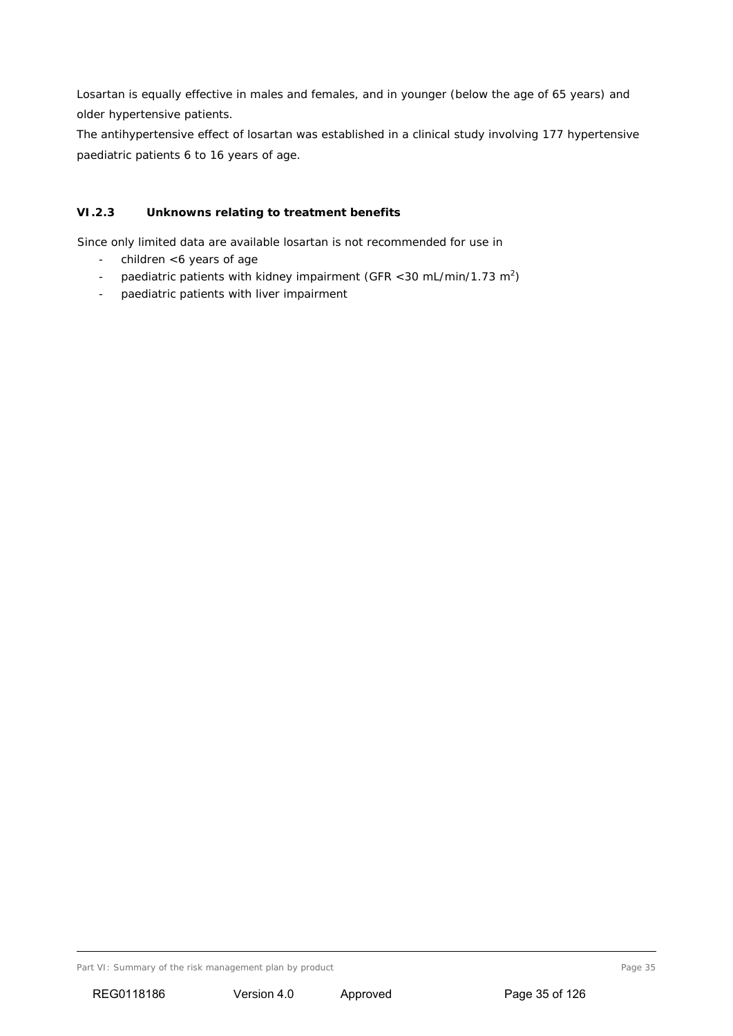Losartan is equally effective in males and females, and in younger (below the age of 65 years) and older hypertensive patients.

The antihypertensive effect of losartan was established in a clinical study involving 177 hypertensive paediatric patients 6 to 16 years of age.

# *VI.2.3 Unknowns relating to treatment benefits*

Since only limited data are available losartan is not recommended for use in

- children <6 years of age
- paediatric patients with kidney impairment (GFR < 30 mL/min/1.73 m<sup>2</sup>)
- paediatric patients with liver impairment

Part VI: Summary of the risk management plan by product Page 35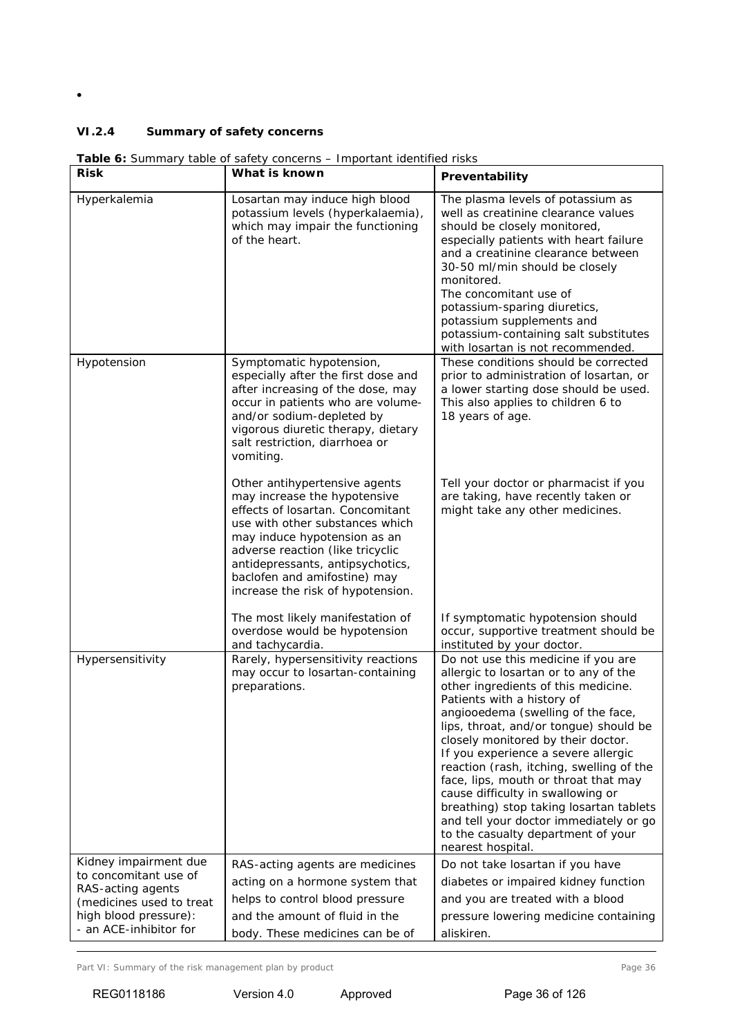•

## *VI.2.4 Summary of safety concerns*

|                                            | <b>rable o</b> : Surfinary table of safety concerns – important identified risks                                                                                                                                                                                                                                  |                                                                                                                                                                                                                                                                                                                                                                                                                                                                                                                                                                                         |
|--------------------------------------------|-------------------------------------------------------------------------------------------------------------------------------------------------------------------------------------------------------------------------------------------------------------------------------------------------------------------|-----------------------------------------------------------------------------------------------------------------------------------------------------------------------------------------------------------------------------------------------------------------------------------------------------------------------------------------------------------------------------------------------------------------------------------------------------------------------------------------------------------------------------------------------------------------------------------------|
| <b>Risk</b>                                | What is known                                                                                                                                                                                                                                                                                                     | Preventability                                                                                                                                                                                                                                                                                                                                                                                                                                                                                                                                                                          |
| Hyperkalemia                               | Losartan may induce high blood<br>potassium levels (hyperkalaemia),<br>which may impair the functioning<br>of the heart.                                                                                                                                                                                          | The plasma levels of potassium as<br>well as creatinine clearance values<br>should be closely monitored,<br>especially patients with heart failure<br>and a creatinine clearance between<br>30-50 ml/min should be closely<br>monitored.<br>The concomitant use of<br>potassium-sparing diuretics,<br>potassium supplements and<br>potassium-containing salt substitutes<br>with losartan is not recommended.                                                                                                                                                                           |
| Hypotension                                | Symptomatic hypotension,<br>especially after the first dose and<br>after increasing of the dose, may<br>occur in patients who are volume-<br>and/or sodium-depleted by<br>vigorous diuretic therapy, dietary<br>salt restriction, diarrhoea or<br>vomiting.                                                       | These conditions should be corrected<br>prior to administration of losartan, or<br>a lower starting dose should be used.<br>This also applies to children 6 to<br>18 years of age.                                                                                                                                                                                                                                                                                                                                                                                                      |
|                                            | Other antihypertensive agents<br>may increase the hypotensive<br>effects of losartan. Concomitant<br>use with other substances which<br>may induce hypotension as an<br>adverse reaction (like tricyclic<br>antidepressants, antipsychotics,<br>baclofen and amifostine) may<br>increase the risk of hypotension. | Tell your doctor or pharmacist if you<br>are taking, have recently taken or<br>might take any other medicines.                                                                                                                                                                                                                                                                                                                                                                                                                                                                          |
|                                            | The most likely manifestation of<br>overdose would be hypotension<br>and tachycardia.                                                                                                                                                                                                                             | If symptomatic hypotension should<br>occur, supportive treatment should be<br>instituted by your doctor.                                                                                                                                                                                                                                                                                                                                                                                                                                                                                |
| Hypersensitivity                           | Rarely, hypersensitivity reactions<br>may occur to losartan-containing<br>preparations.                                                                                                                                                                                                                           | Do not use this medicine if you are<br>allergic to losartan or to any of the<br>other ingredients of this medicine.<br>Patients with a history of<br>angiooedema (swelling of the face,<br>lips, throat, and/or tongue) should be<br>closely monitored by their doctor.<br>If you experience a severe allergic<br>reaction (rash, itching, swelling of the<br>face, lips, mouth or throat that may<br>cause difficulty in swallowing or<br>breathing) stop taking losartan tablets<br>and tell your doctor immediately or go<br>to the casualty department of your<br>nearest hospital. |
| Kidney impairment due                      | RAS-acting agents are medicines                                                                                                                                                                                                                                                                                   | Do not take losartan if you have                                                                                                                                                                                                                                                                                                                                                                                                                                                                                                                                                        |
| to concomitant use of<br>RAS-acting agents | acting on a hormone system that                                                                                                                                                                                                                                                                                   | diabetes or impaired kidney function                                                                                                                                                                                                                                                                                                                                                                                                                                                                                                                                                    |
| (medicines used to treat                   | helps to control blood pressure                                                                                                                                                                                                                                                                                   | and you are treated with a blood                                                                                                                                                                                                                                                                                                                                                                                                                                                                                                                                                        |
| high blood pressure):                      | and the amount of fluid in the                                                                                                                                                                                                                                                                                    | pressure lowering medicine containing                                                                                                                                                                                                                                                                                                                                                                                                                                                                                                                                                   |
| - an ACE-inhibitor for                     | body. These medicines can be of                                                                                                                                                                                                                                                                                   | aliskiren.                                                                                                                                                                                                                                                                                                                                                                                                                                                                                                                                                                              |

*Table 6: Summary table of safety concerns – Important identified risks*

Part VI: Summary of the risk management plan by product example 26 and 20 years of the risk management plan by product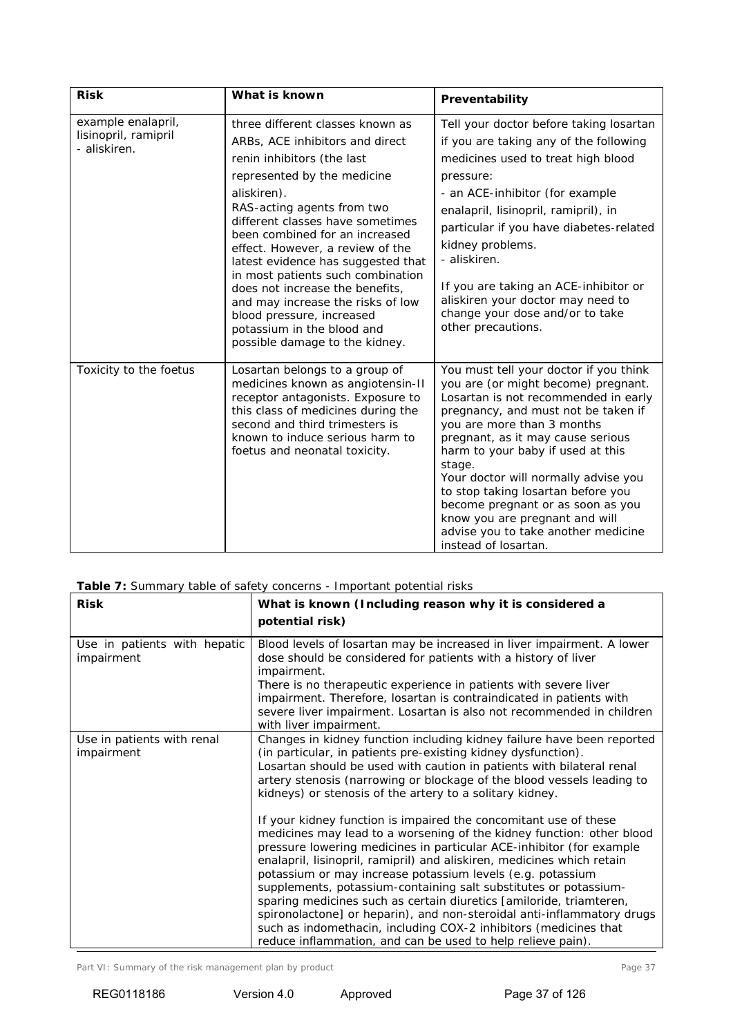| <b>Risk</b>                                                | What is known                                                                                                                                                                                                                                                                                                                                                                                                                                                                                                                           | Preventability                                                                                                                                                                                                                                                                                                                                                                                                                                                                                     |
|------------------------------------------------------------|-----------------------------------------------------------------------------------------------------------------------------------------------------------------------------------------------------------------------------------------------------------------------------------------------------------------------------------------------------------------------------------------------------------------------------------------------------------------------------------------------------------------------------------------|----------------------------------------------------------------------------------------------------------------------------------------------------------------------------------------------------------------------------------------------------------------------------------------------------------------------------------------------------------------------------------------------------------------------------------------------------------------------------------------------------|
| example enalapril,<br>lisinopril, ramipril<br>- aliskiren. | three different classes known as<br>ARBs, ACE inhibitors and direct<br>renin inhibitors (the last<br>represented by the medicine<br>aliskiren).<br>RAS-acting agents from two<br>different classes have sometimes<br>been combined for an increased<br>effect. However, a review of the<br>latest evidence has suggested that<br>in most patients such combination<br>does not increase the benefits.<br>and may increase the risks of low<br>blood pressure, increased<br>potassium in the blood and<br>possible damage to the kidney. | Tell your doctor before taking losartan<br>if you are taking any of the following<br>medicines used to treat high blood<br>pressure:<br>- an ACE-inhibitor (for example<br>enalapril, lisinopril, ramipril), in<br>particular if you have diabetes-related<br>kidney problems.<br>- aliskiren.<br>If you are taking an ACE-inhibitor or<br>aliskiren your doctor may need to<br>change your dose and/or to take<br>other precautions.                                                              |
| Toxicity to the foetus                                     | Losartan belongs to a group of<br>medicines known as angiotensin-II<br>receptor antagonists. Exposure to<br>this class of medicines during the<br>second and third trimesters is<br>known to induce serious harm to<br>foetus and neonatal toxicity.                                                                                                                                                                                                                                                                                    | You must tell your doctor if you think<br>you are (or might become) pregnant.<br>Losartan is not recommended in early<br>pregnancy, and must not be taken if<br>you are more than 3 months<br>pregnant, as it may cause serious<br>harm to your baby if used at this<br>stage.<br>Your doctor will normally advise you<br>to stop taking losartan before you<br>become pregnant or as soon as you<br>know you are pregnant and will<br>advise you to take another medicine<br>instead of losartan. |

| <b>Table 7:</b> Summary table of safety concerns - Important potential risks |  |  |
|------------------------------------------------------------------------------|--|--|
|                                                                              |  |  |

|                                            | <b>Table 7:</b> Summary table of safety concerns - important potential risks                                                                                                                                                                                                                                                                                                                                                                                                                                                                                                                                                                                                                                      |
|--------------------------------------------|-------------------------------------------------------------------------------------------------------------------------------------------------------------------------------------------------------------------------------------------------------------------------------------------------------------------------------------------------------------------------------------------------------------------------------------------------------------------------------------------------------------------------------------------------------------------------------------------------------------------------------------------------------------------------------------------------------------------|
| <b>Risk</b>                                | What is known (Including reason why it is considered a<br>potential risk)                                                                                                                                                                                                                                                                                                                                                                                                                                                                                                                                                                                                                                         |
|                                            |                                                                                                                                                                                                                                                                                                                                                                                                                                                                                                                                                                                                                                                                                                                   |
| Use in patients with hepatic<br>impairment | Blood levels of losartan may be increased in liver impairment. A lower<br>dose should be considered for patients with a history of liver<br>impairment.<br>There is no therapeutic experience in patients with severe liver                                                                                                                                                                                                                                                                                                                                                                                                                                                                                       |
|                                            | impairment. Therefore, losartan is contraindicated in patients with<br>severe liver impairment. Losartan is also not recommended in children<br>with liver impairment.                                                                                                                                                                                                                                                                                                                                                                                                                                                                                                                                            |
| Use in patients with renal<br>impairment   | Changes in kidney function including kidney failure have been reported<br>(in particular, in patients pre-existing kidney dysfunction).<br>Losartan should be used with caution in patients with bilateral renal<br>artery stenosis (narrowing or blockage of the blood vessels leading to<br>kidneys) or stenosis of the artery to a solitary kidney.                                                                                                                                                                                                                                                                                                                                                            |
|                                            | If your kidney function is impaired the concomitant use of these<br>medicines may lead to a worsening of the kidney function: other blood<br>pressure lowering medicines in particular ACE-inhibitor (for example<br>enalapril, lisinopril, ramipril) and aliskiren, medicines which retain<br>potassium or may increase potassium levels (e.g. potassium<br>supplements, potassium-containing salt substitutes or potassium-<br>sparing medicines such as certain diuretics [amiloride, triamteren,<br>spironolactone] or heparin), and non-steroidal anti-inflammatory drugs<br>such as indomethacin, including COX-2 inhibitors (medicines that<br>reduce inflammation, and can be used to help relieve pain). |

Part VI: Summary of the risk management plan by product example 20 and the risk management plan by product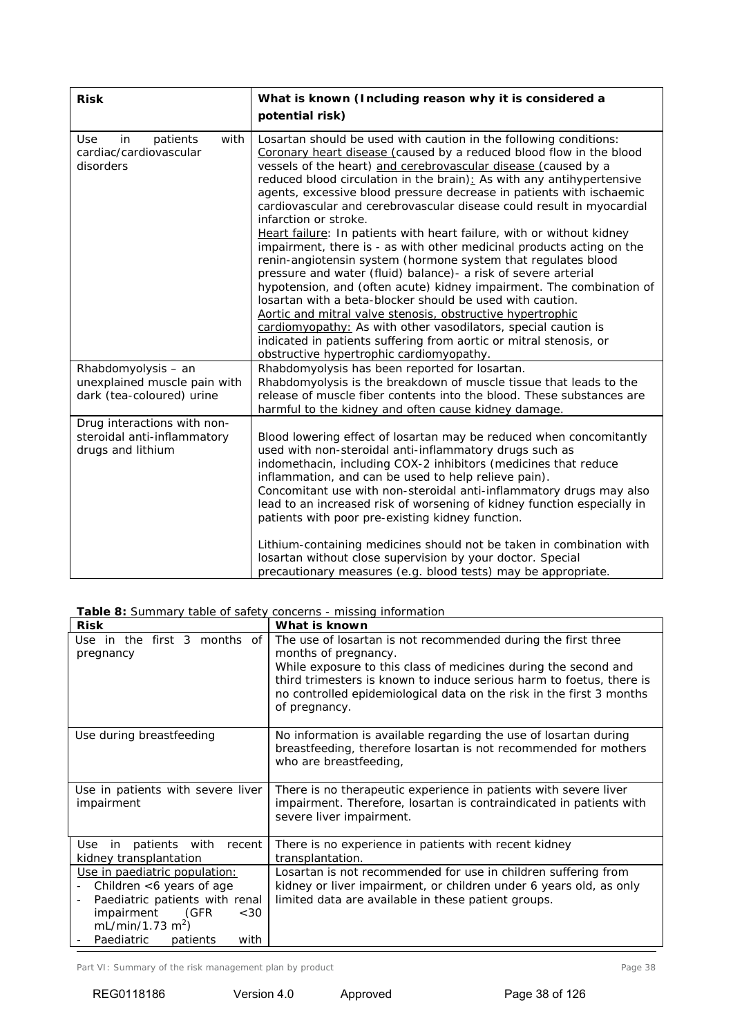| <b>Risk</b>                                                                      | What is known (Including reason why it is considered a<br>potential risk)                                                                                                                                                                                                                                                                                                                                                                                                                                                                                                                                                                                                                                                                                                                                                                                                                                                                                                                                                                                                                                                                 |
|----------------------------------------------------------------------------------|-------------------------------------------------------------------------------------------------------------------------------------------------------------------------------------------------------------------------------------------------------------------------------------------------------------------------------------------------------------------------------------------------------------------------------------------------------------------------------------------------------------------------------------------------------------------------------------------------------------------------------------------------------------------------------------------------------------------------------------------------------------------------------------------------------------------------------------------------------------------------------------------------------------------------------------------------------------------------------------------------------------------------------------------------------------------------------------------------------------------------------------------|
| Use<br>patients<br>with<br>in<br>cardiac/cardiovascular<br>disorders             | Losartan should be used with caution in the following conditions:<br>Coronary heart disease (caused by a reduced blood flow in the blood<br>vessels of the heart) and cerebrovascular disease (caused by a<br>reduced blood circulation in the brain): As with any antihypertensive<br>agents, excessive blood pressure decrease in patients with ischaemic<br>cardiovascular and cerebrovascular disease could result in myocardial<br>infarction or stroke.<br>Heart failure: In patients with heart failure, with or without kidney<br>impairment, there is - as with other medicinal products acting on the<br>renin-angiotensin system (hormone system that regulates blood<br>pressure and water (fluid) balance)- a risk of severe arterial<br>hypotension, and (often acute) kidney impairment. The combination of<br>losartan with a beta-blocker should be used with caution.<br>Aortic and mitral valve stenosis, obstructive hypertrophic<br>cardiomyopathy: As with other vasodilators, special caution is<br>indicated in patients suffering from aortic or mitral stenosis, or<br>obstructive hypertrophic cardiomyopathy. |
| Rhabdomyolysis - an<br>unexplained muscle pain with<br>dark (tea-coloured) urine | Rhabdomyolysis has been reported for losartan.<br>Rhabdomyolysis is the breakdown of muscle tissue that leads to the<br>release of muscle fiber contents into the blood. These substances are<br>harmful to the kidney and often cause kidney damage.                                                                                                                                                                                                                                                                                                                                                                                                                                                                                                                                                                                                                                                                                                                                                                                                                                                                                     |
| Drug interactions with non-<br>steroidal anti-inflammatory<br>drugs and lithium  | Blood lowering effect of losartan may be reduced when concomitantly<br>used with non-steroidal anti-inflammatory drugs such as<br>indomethacin, including COX-2 inhibitors (medicines that reduce<br>inflammation, and can be used to help relieve pain).<br>Concomitant use with non-steroidal anti-inflammatory drugs may also<br>lead to an increased risk of worsening of kidney function especially in<br>patients with poor pre-existing kidney function.<br>Lithium-containing medicines should not be taken in combination with<br>losartan without close supervision by your doctor. Special<br>precautionary measures (e.g. blood tests) may be appropriate.                                                                                                                                                                                                                                                                                                                                                                                                                                                                    |

*Table 8: Summary table of safety concerns - missing information*

| <b>Risk</b>                                                                                                                                                                                                            | What is known                                                                                                                                                                                                                                                                                                             |
|------------------------------------------------------------------------------------------------------------------------------------------------------------------------------------------------------------------------|---------------------------------------------------------------------------------------------------------------------------------------------------------------------------------------------------------------------------------------------------------------------------------------------------------------------------|
| Use in the first 3 months of<br>pregnancy                                                                                                                                                                              | The use of losartan is not recommended during the first three<br>months of pregnancy.<br>While exposure to this class of medicines during the second and<br>third trimesters is known to induce serious harm to foetus, there is<br>no controlled epidemiological data on the risk in the first 3 months<br>of pregnancy. |
| Use during breastfeeding                                                                                                                                                                                               | No information is available regarding the use of losartan during<br>breastfeeding, therefore losartan is not recommended for mothers<br>who are breastfeeding,                                                                                                                                                            |
| Use in patients with severe liver<br>impairment                                                                                                                                                                        | There is no therapeutic experience in patients with severe liver<br>impairment. Therefore, losartan is contraindicated in patients with<br>severe liver impairment.                                                                                                                                                       |
| patients with recent<br>Use<br>in<br>kidney transplantation                                                                                                                                                            | There is no experience in patients with recent kidney<br>transplantation.                                                                                                                                                                                                                                                 |
| Use in paediatric population:<br>Children <6 years of age<br>Paediatric patients with renal<br>$\overline{\phantom{a}}$<br>impairment<br>(GFR<br><30<br>mL/min/1.73 m <sup>2</sup> )<br>Paediatric<br>with<br>patients | Losartan is not recommended for use in children suffering from<br>kidney or liver impairment, or children under 6 years old, as only<br>limited data are available in these patient groups.                                                                                                                               |

Part VI: Summary of the risk management plan by product example and the risk management plan by product